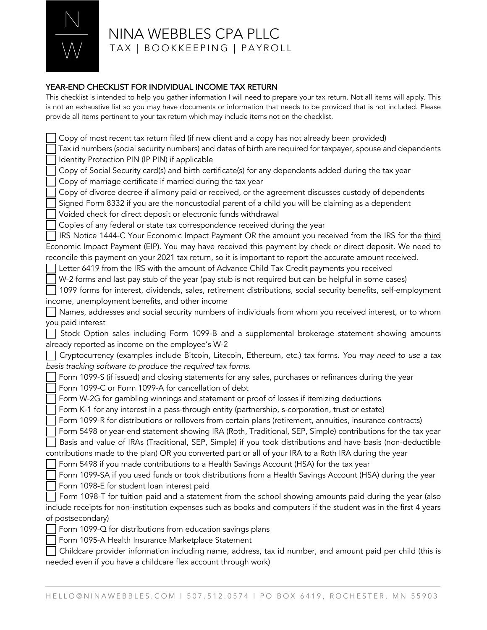

## NINA WEBBLES CPA PLLC TAX | BOOKKEEPING | PAYROLL

## YEAR-END CHECKLIST FOR INDIVIDUAL INCOME TAX RETURN

This checklist is intended to help you gather information I will need to prepare your tax return. Not all items will apply. This is not an exhaustive list so you may have documents or information that needs to be provided that is not included. Please provide all items pertinent to your tax return which may include items not on the checklist.

Copy of most recent tax return filed (if new client and a copy has not already been provided) Tax id numbers (social security numbers) and dates of birth are required for taxpayer, spouse and dependents Identity Protection PIN (IP PIN) if applicable Copy of Social Security card(s) and birth certificate(s) for any dependents added during the tax year Copy of marriage certificate if married during the tax year Copy of divorce decree if alimony paid or received, or the agreement discusses custody of dependents Signed Form 8332 if you are the noncustodial parent of a child you will be claiming as a dependent Voided check for direct deposit or electronic funds withdrawal Copies of any federal or state tax correspondence received during the year IRS Notice 1444-C Your Economic Impact Payment OR the amount you received from the IRS for the third Economic Impact Payment (EIP). You may have received this payment by check or direct deposit. We need to reconcile this payment on your 2021 tax return, so it is important to report the accurate amount received. Letter 6419 from the IRS with the amount of Advance Child Tax Credit payments you received W-2 forms and last pay stub of the year (pay stub is not required but can be helpful in some cases) 1099 forms for interest, dividends, sales, retirement distributions, social security benefits, self-employment income, unemployment benefits, and other income Names, addresses and social security numbers of individuals from whom you received interest, or to whom you paid interest Stock Option sales including Form 1099-B and a supplemental brokerage statement showing amounts already reported as income on the employee's W-2 Cryptocurrency (examples include Bitcoin, Litecoin, Ethereum, etc.) tax forms. *You may need to use a tax basis tracking software to produce the required tax forms.* Form 1099-S (if issued) and closing statements for any sales, purchases or refinances during the year Form 1099-C or Form 1099-A for cancellation of debt Form W-2G for gambling winnings and statement or proof of losses if itemizing deductions Form K-1 for any interest in a pass-through entity (partnership, s-corporation, trust or estate) Form 1099-R for distributions or rollovers from certain plans (retirement, annuities, insurance contracts) Form 5498 or year-end statement showing IRA (Roth, Traditional, SEP, Simple) contributions for the tax year Basis and value of IRAs (Traditional, SEP, Simple) if you took distributions and have basis (non-deductible contributions made to the plan) OR you converted part or all of your IRA to a Roth IRA during the year Form 5498 if you made contributions to a Health Savings Account (HSA) for the tax year Form 1099-SA if you used funds or took distributions from a Health Savings Account (HSA) during the year Form 1098-E for student loan interest paid Form 1098-T for tuition paid and a statement from the school showing amounts paid during the year (also include receipts for non-institution expenses such as books and computers if the student was in the first 4 years of postsecondary) Form 1099-Q for distributions from education savings plans Form 1095-A Health Insurance Marketplace Statement Childcare provider information including name, address, tax id number, and amount paid per child (this is needed even if you have a childcare flex account through work)